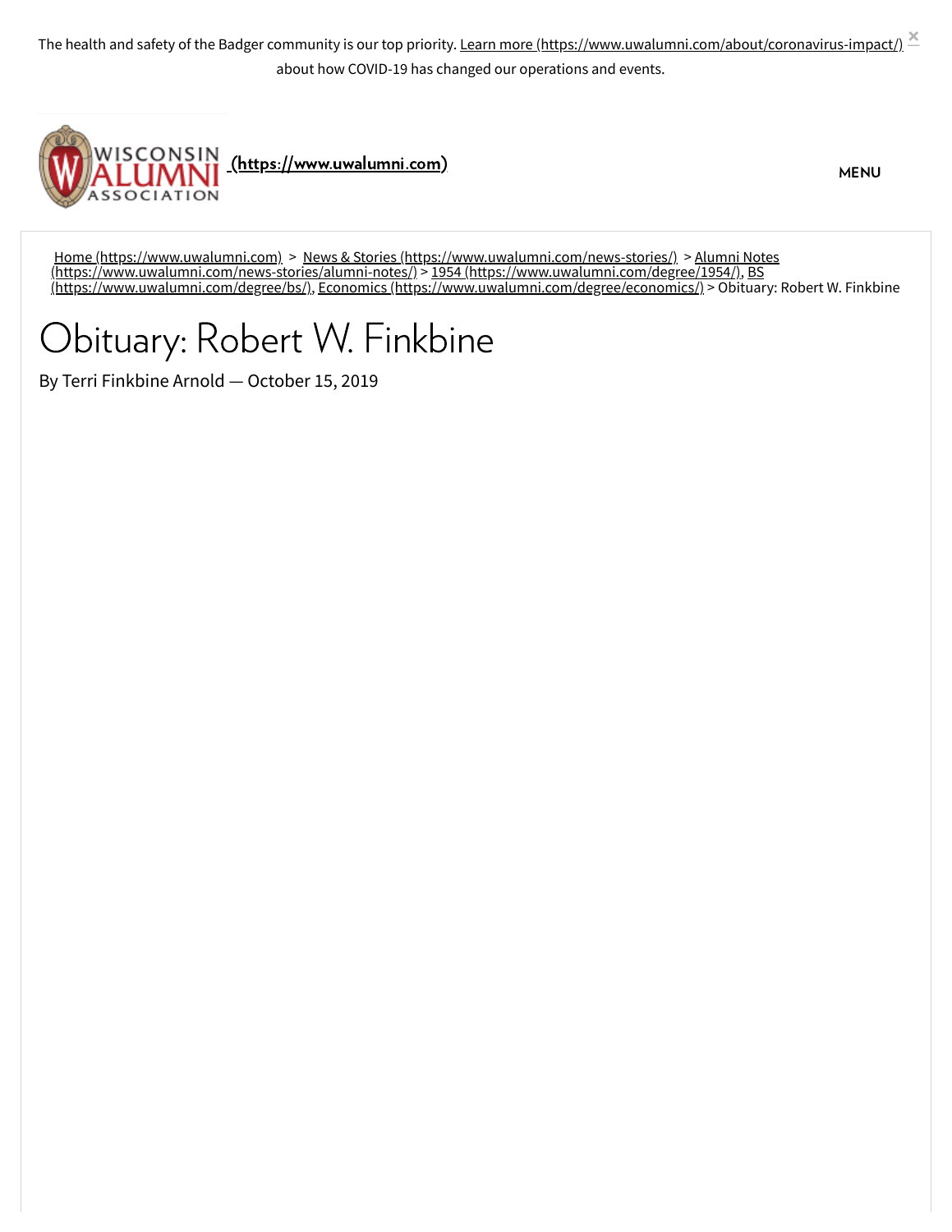

Home [\(https://www.uwalumni.com\)](https://www.uwalumni.com/) > News & Stories [\(https://www.uwalumni.com/news-stories/\)](https://www.uwalumni.com/news-stories/) > Alumni Notes [\(https://www.uwalumni.com/news-stories/alumni-notes/\)](https://www.uwalumni.com/news-stories/alumni-notes/) > 1954 [\(https://www.uwalumni.com/degree/1954/\),](https://www.uwalumni.com/degree/1954/) BS (https://www.uwalumni.com/degree/bs/), Economics [\(https://www.uwalumni.com/degree/economics/\)](https://www.uwalumni.com/degree/economics/) > Obituary: Robert W. Finkbine

## Obituary: Robert W. Finkbine

By Terri Finkbine Arnold — October 15, 2019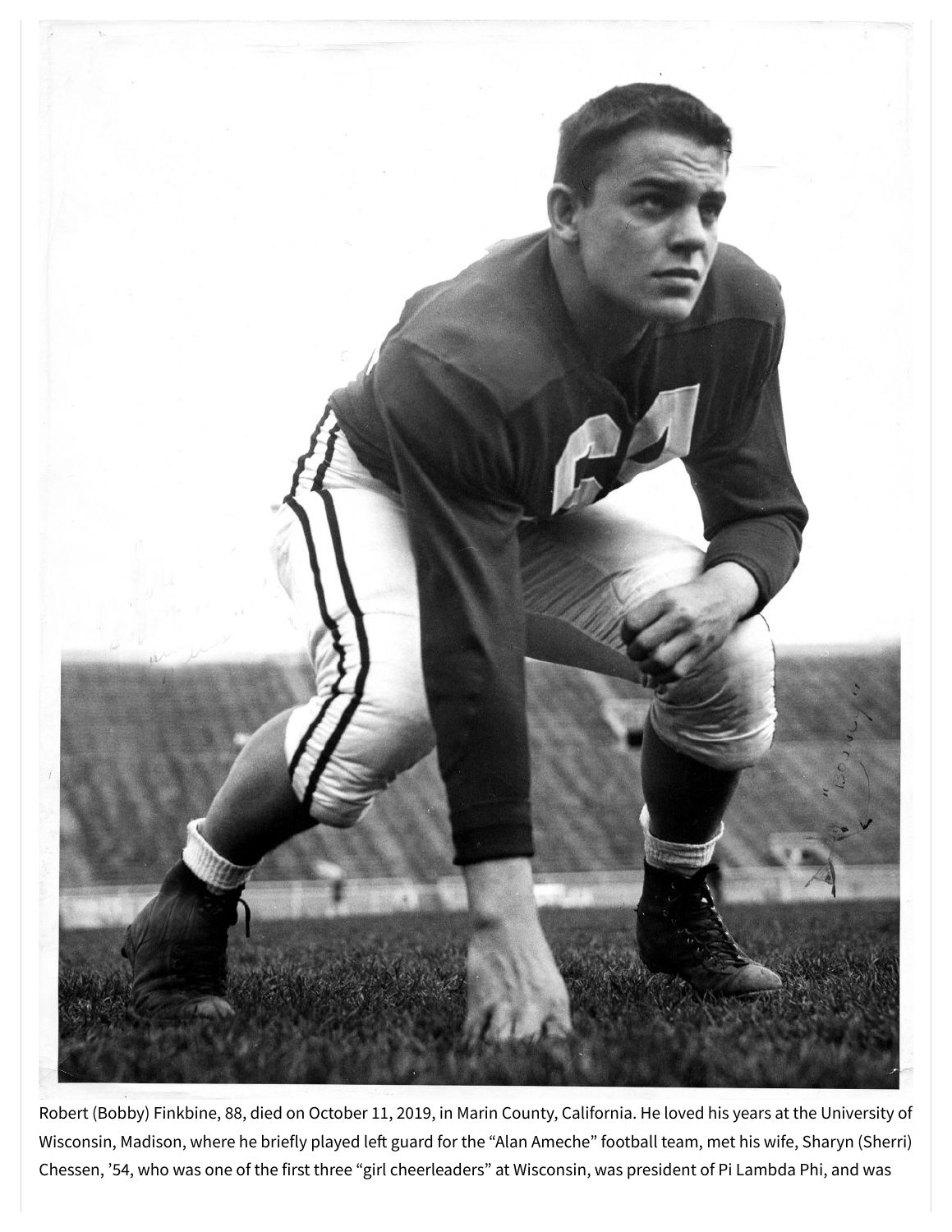

Robert (Bobby) Finkbine, 88, died on October 11, 2019, in Marin County, California. He loved his years at the University of Wisconsin, Madison, where he briefly played left guard for the "Alan Ameche" football team, met his wife, Sharyn (Sherri) Chessen, '54, who was one of the first three "girl cheerleaders" at Wisconsin, was president of Pi Lambda Phi, and was